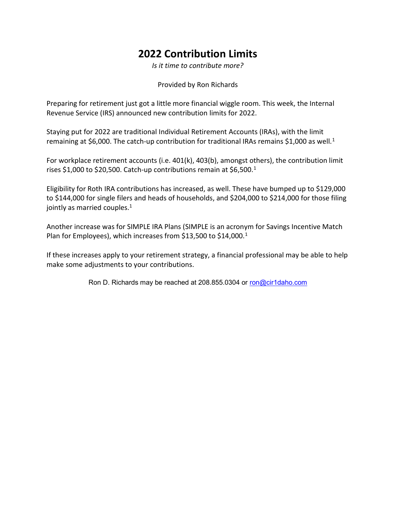## 2022 Contribution Limits

Is it time to contribute more?

Provided by Ron Richards

Preparing for retirement just got a little more financial wiggle room. This week, the Internal Revenue Service (IRS) announced new contribution limits for 2022.

Staying put for 2022 are traditional Individual Retirement Accounts (IRAs), with the limit remaining at \$6,000. The catch-up contribution for traditional IRAs remains \$1,000 as well.<sup>1</sup>

For workplace retirement accounts (i.e. 401(k), 403(b), amongst others), the contribution limit rises \$1,000 to \$20,500. Catch-up contributions remain at \$6,500.<sup>1</sup>

Eligibility for Roth IRA contributions has increased, as well. These have bumped up to \$129,000 to \$144,000 for single filers and heads of households, and \$204,000 to \$214,000 for those filing jointly as married couples.<sup>1</sup>

Another increase was for SIMPLE IRA Plans (SIMPLE is an acronym for Savings Incentive Match Plan for Employees), which increases from \$13,500 to \$14,000.<sup>1</sup>

If these increases apply to your retirement strategy, a financial professional may be able to help make some adjustments to your contributions.

Ron D. Richards may be reached at 208.855.0304 or ron@cir1daho.com